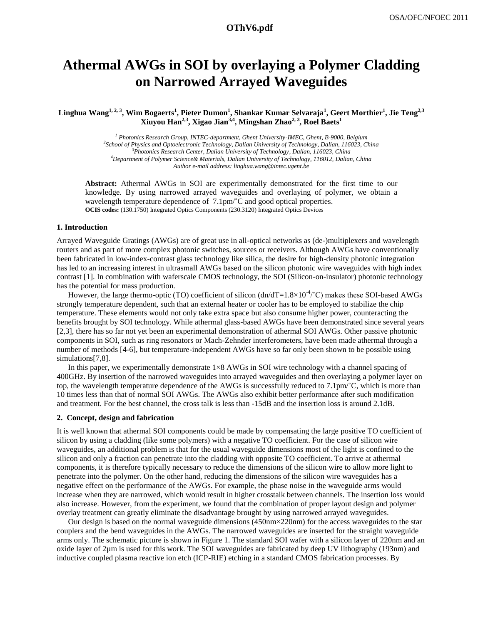# **Athermal AWGs in SOI by overlaying a Polymer Cladding on Narrowed Arrayed Waveguides**

**Linghua Wang1, 2, 3 , Wim Bogaerts<sup>1</sup> , Pieter Dumon<sup>1</sup> , Shankar Kumar Selvaraja<sup>1</sup> , Geert Morthier<sup>1</sup> , Jie Teng2,3 Xiuyou Han2,3, Xigao Jian3,4 , Mingshan Zhao2, 3, Roel Baets<sup>1</sup>**

> *Photonics Research Group, INTEC-department, Ghent University-IMEC, Ghent, B-9000, Belgium School of Physics and Optoelectronic Technology, Dalian University of Technology, Dalian, 116023, China Photonics Research Center, Dalian University of Technology, Dalian, 116023, China Department of Polymer Science& Materials, Dalian University of Technology, 116012, Dalian, China Author e-mail address: linghua.wang@intec.ugent.be*

**Abstract:** Athermal AWGs in SOI are experimentally demonstrated for the first time to our knowledge. By using narrowed arrayed waveguides and overlaying of polymer, we obtain a wavelength temperature dependence of 7.1pm/°C and good optical properties. **OCIS codes:** (130.1750) Integrated Optics Components (230.3120) Integrated Optics Devices

#### **1. Introduction**

Arrayed Waveguide Gratings (AWGs) are of great use in all-optical networks as (de-)multiplexers and wavelength routers and as part of more complex photonic switches, sources or receivers. Although AWGs have conventionally been fabricated in low-index-contrast glass technology like silica, the desire for high-density photonic integration has led to an increasing interest in ultrasmall AWGs based on the silicon photonic wire waveguides with high index contrast [1]. In combination with waferscale CMOS technology, the SOI (Silicon-on-insulator) photonic technology has the potential for mass production.

However, the large thermo-optic (TO) coefficient of silicon  $(dn/dT=1.8\times10^{-4}^{\circ}C)$  makes these SOI-based AWGs strongly temperature dependent, such that an external heater or cooler has to be employed to stabilize the chip temperature. These elements would not only take extra space but also consume higher power, counteracting the benefits brought by SOI technology. While athermal glass-based AWGs have been demonstrated since several years [2,3], there has so far not yet been an experimental demonstration of athermal SOI AWGs. Other passive photonic components in SOI, such as ring resonators or Mach-Zehnder interferometers, have been made athermal through a number of methods [4-6], but temperature-independent AWGs have so far only been shown to be possible using simulations<sup>[7,8]</sup>.

In this paper, we experimentally demonstrate  $1\times 8$  AWGs in SOI wire technology with a channel spacing of 400GHz. By insertion of the narrowed waveguides into arrayed waveguides and then overlaying a polymer layer on top, the wavelength temperature dependence of the AWGs is successfully reduced to 7.1pm/˚C, which is more than 10 times less than that of normal SOI AWGs. The AWGs also exhibit better performance after such modification and treatment. For the best channel, the cross talk is less than -15dB and the insertion loss is around 2.1dB.

#### **2. Concept, design and fabrication**

It is well known that athermal SOI components could be made by compensating the large positive TO coefficient of silicon by using a cladding (like some polymers) with a negative TO coefficient. For the case of silicon wire waveguides, an additional problem is that for the usual waveguide dimensions most of the light is confined to the silicon and only a fraction can penetrate into the cladding with opposite TO coefficient. To arrive at athermal components, it is therefore typically necessary to reduce the dimensions of the silicon wire to allow more light to penetrate into the polymer. On the other hand, reducing the dimensions of the silicon wire waveguides has a negative effect on the performance of the AWGs. For example, the phase noise in the waveguide arms would increase when they are narrowed, which would result in higher crosstalk between channels. The insertion loss would also increase. However, from the experiment, we found that the combination of proper layout design and polymer overlay treatment can greatly eliminate the disadvantage brought by using narrowed arrayed waveguides.

Our design is based on the normal waveguide dimensions  $(450 \text{nm} \times 220 \text{nm})$  for the access waveguides to the star couplers and the bend waveguides in the AWGs. The narrowed waveguides are inserted for the straight waveguide arms only. The schematic picture is shown in Figure 1. The standard SOI wafer with a silicon layer of 220nm and an oxide layer of 2µm is used for this work. The SOI waveguides are fabricated by deep UV lithography (193nm) and inductive coupled plasma reactive ion etch (ICP-RIE) etching in a standard CMOS fabrication processes. By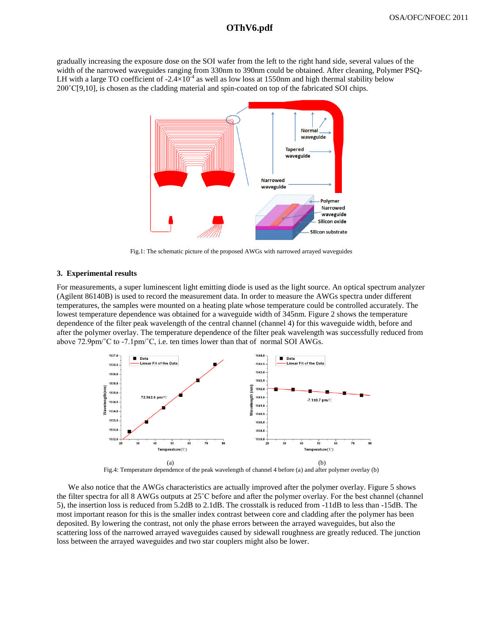# **OThV6.pdf OThV6.pdf**

gradually increasing the exposure dose on the SOI wafer from the left to the right hand side, several values of the width of the narrowed waveguides ranging from 330nm to 390nm could be obtained. After cleaning, Polymer PSQ-LH with a large TO coefficient of -2.4 $\times$ 10<sup>-4</sup> as well as low loss at 1550nm and high thermal stability below 200˚C[9,10], is chosen as the cladding material and spin-coated on top of the fabricated SOI chips.



Fig.1: The schematic picture of the proposed AWGs with narrowed arrayed waveguides

#### **3. Experimental results**

For measurements, a super luminescent light emitting diode is used as the light source. An optical spectrum analyzer (Agilent 86140B) is used to record the measurement data. In order to measure the AWGs spectra under different temperatures, the samples were mounted on a heating plate whose temperature could be controlled accurately. The lowest temperature dependence was obtained for a waveguide width of 345nm. Figure 2 shows the temperature dependence of the filter peak wavelength of the central channel (channel 4) for this waveguide width, before and after the polymer overlay. The temperature dependence of the filter peak wavelength was successfully reduced from above 72.9pm/˚C to -7.1pm/˚C, i.e. ten times lower than that of normal SOI AWGs.



Fig.4: Temperature dependence of the peak wavelength of channel 4 before (a) and after polymer overlay (b)

We also notice that the AWGs characteristics are actually improved after the polymer overlay. Figure 5 shows the filter spectra for all 8 AWGs outputs at 25˚C before and after the polymer overlay. For the best channel (channel 5), the insertion loss is reduced from 5.2dB to 2.1dB. The crosstalk is reduced from -11dB to less than -15dB. The most important reason for this is the smaller index contrast between core and cladding after the polymer has been deposited. By lowering the contrast, not only the phase errors between the arrayed waveguides, but also the scattering loss of the narrowed arrayed waveguides caused by sidewall roughness are greatly reduced. The junction loss between the arrayed waveguides and two star couplers might also be lower.